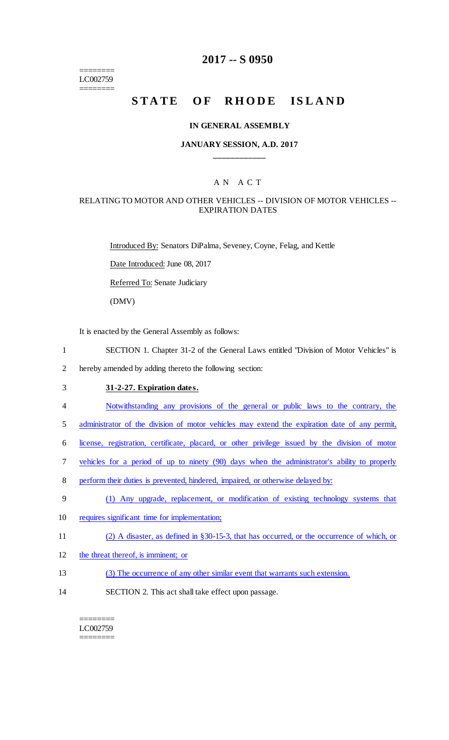======== LC002759 ========

## **2017 -- S 0950**

# **STATE OF RHODE ISLAND**

#### **IN GENERAL ASSEMBLY**

## **JANUARY SESSION, A.D. 2017 \_\_\_\_\_\_\_\_\_\_\_\_**

## A N A C T

### RELATING TO MOTOR AND OTHER VEHICLES -- DIVISION OF MOTOR VEHICLES -- EXPIRATION DATES

Introduced By: Senators DiPalma, Seveney, Coyne, Felag, and Kettle

Date Introduced: June 08, 2017

Referred To: Senate Judiciary

(DMV)

It is enacted by the General Assembly as follows:

1 SECTION 1. Chapter 31-2 of the General Laws entitled "Division of Motor Vehicles" is

2 hereby amended by adding thereto the following section:

## 3 **31-2-27. Expiration dates.**

4 Notwithstanding any provisions of the general or public laws to the contrary, the

5 administrator of the division of motor vehicles may extend the expiration date of any permit,

6 license, registration, certificate, placard, or other privilege issued by the division of motor

- 7 vehicles for a period of up to ninety (90) days when the administrator's ability to properly
- 8 perform their duties is prevented, hindered, impaired, or otherwise delayed by:
- 9 (1) Any upgrade, replacement, or modification of existing technology systems that
- 10 requires significant time for implementation;
- 11 (2) A disaster, as defined in §30-15-3, that has occurred, or the occurrence of which, or
- 12 the threat thereof, is imminent; or
- 13 (3) The occurrence of any other similar event that warrants such extension.
- 14 SECTION 2. This act shall take effect upon passage.

#### ======== LC002759 ========